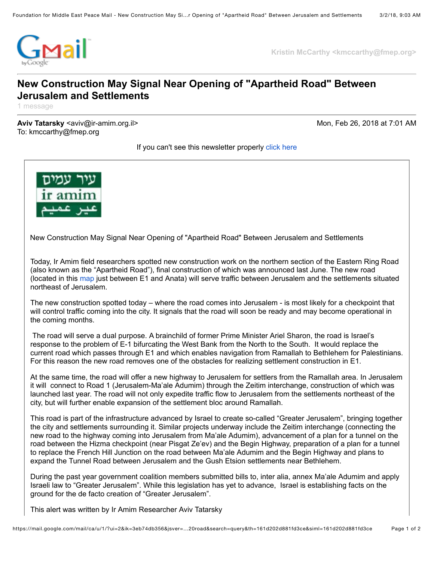

**Kristin McCarthy <kmccarthy@fmep.org>**

## **New Construction May Signal Near Opening of "Apartheid Road" Between Jerusalem and Settlements**

1 message

**Aviv Tatarsky** <aviv@ir-amim.org.il> Mon, Feb 26, 2018 at 7:01 AM To: kmccarthy@fmep.org

If you can't see this newsletter properly [click here](http://www.altro.co.il/newsletters/show/10694?key=b1adf25ed0a42c9bbc3cc6cb05293f33&value=18d95e8e03b04e0d28d46e55d3db53b3290303ee:1319409)



New Construction May Signal Near Opening of "Apartheid Road" Between Jerusalem and Settlements

Today, Ir Amim field researchers spotted new construction work on the northern section of the Eastern Ring Road (also known as the "Apartheid Road"), final construction of which was announced last June. The new road (located in this [map](http://www.altro.co.il/uploads/252/File/Jerusalem%20Map%20(Roads).jpg) just between E1 and Anata) will serve traffic between Jerusalem and the settlements situated northeast of Jerusalem.

The new construction spotted today – where the road comes into Jerusalem - is most likely for a checkpoint that will control traffic coming into the city. It signals that the road will soon be ready and may become operational in the coming months.

 The road will serve a dual purpose. A brainchild of former Prime Minister Ariel Sharon, the road is Israel's response to the problem of E-1 bifurcating the West Bank from the North to the South. It would replace the current road which passes through E1 and which enables navigation from Ramallah to Bethlehem for Palestinians. For this reason the new road removes one of the obstacles for realizing settlement construction in E1.

At the same time, the road will offer a new highway to Jerusalem for settlers from the Ramallah area. In Jerusalem it will connect to Road 1 (Jerusalem-Ma'ale Adumim) through the Zeitim interchange, construction of which was launched last year. The road will not only expedite traffic flow to Jerusalem from the settlements northeast of the city, but will further enable expansion of the settlement bloc around Ramallah.

This road is part of the infrastructure advanced by Israel to create so-called "Greater Jerusalem", bringing together the city and settlements surrounding it. Similar projects underway include the Zeitim interchange (connecting the new road to the highway coming into Jerusalem from Ma'ale Adumim), advancement of a plan for a tunnel on the road between the Hizma checkpoint (near Pisgat Ze'ev) and the Begin Highway, preparation of a plan for a tunnel to replace the French Hill Junction on the road between Ma'ale Adumim and the Begin Highway and plans to expand the Tunnel Road between Jerusalem and the Gush Etsion settlements near Bethlehem.

During the past year government coalition members submitted bills to, inter alia, annex Ma'ale Adumim and apply Israeli law to "Greater Jerusalem". While this legislation has yet to advance, Israel is establishing facts on the ground for the de facto creation of "Greater Jerusalem".

This alert was written by Ir Amim Researcher Aviv Tatarsky